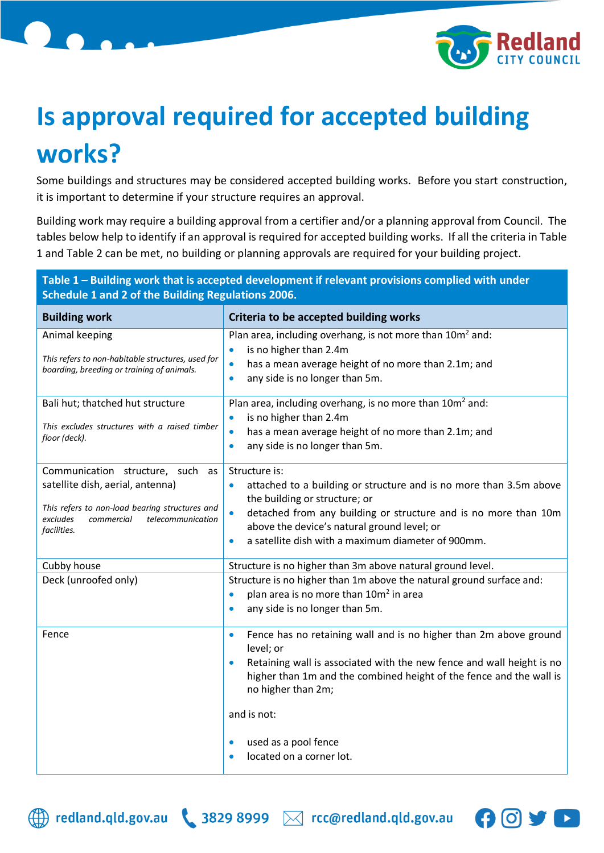

## **Is approval required for accepted building works?**

Some buildings and structures may be considered accepted building works. Before you start construction, it is important to determine if your structure requires an approval.

Building work may require a building approval from a certifier and/or a planning approval from Council. The tables below help to identify if an approval is required for accepted building works. If all the criteria in Table 1 and Table 2 can be met, no building or planning approvals are required for your building project.

| Table 1 - Building work that is accepted development if relevant provisions complied with under<br>Schedule 1 and 2 of the Building Regulations 2006.                                                                                                                                                                                |  |  |
|--------------------------------------------------------------------------------------------------------------------------------------------------------------------------------------------------------------------------------------------------------------------------------------------------------------------------------------|--|--|
| Criteria to be accepted building works                                                                                                                                                                                                                                                                                               |  |  |
| Plan area, including overhang, is not more than 10m <sup>2</sup> and:<br>is no higher than 2.4m<br>has a mean average height of no more than 2.1m; and<br>$\bullet$<br>any side is no longer than 5m.<br>$\bullet$                                                                                                                   |  |  |
| Plan area, including overhang, is no more than 10m <sup>2</sup> and:<br>is no higher than 2.4m<br>has a mean average height of no more than 2.1m; and<br>$\bullet$<br>any side is no longer than 5m.<br>$\bullet$                                                                                                                    |  |  |
| Structure is:<br>attached to a building or structure and is no more than 3.5m above<br>$\bullet$<br>the building or structure; or<br>detached from any building or structure and is no more than 10m<br>$\bullet$<br>above the device's natural ground level; or<br>a satellite dish with a maximum diameter of 900mm.<br>$\bullet$  |  |  |
| Structure is no higher than 3m above natural ground level.                                                                                                                                                                                                                                                                           |  |  |
| Structure is no higher than 1m above the natural ground surface and:<br>plan area is no more than 10m <sup>2</sup> in area<br>$\bullet$<br>any side is no longer than 5m.<br>$\bullet$                                                                                                                                               |  |  |
| Fence has no retaining wall and is no higher than 2m above ground<br>$\bullet$<br>level; or<br>Retaining wall is associated with the new fence and wall height is no<br>higher than 1m and the combined height of the fence and the wall is<br>no higher than 2m;<br>and is not:<br>used as a pool fence<br>located on a corner lot. |  |  |
|                                                                                                                                                                                                                                                                                                                                      |  |  |



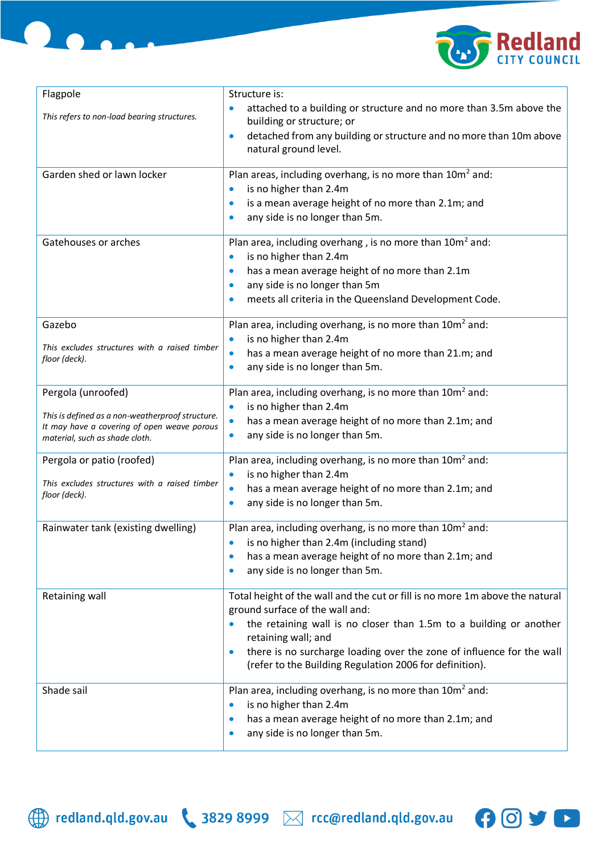

| Structure is:                                                                                                                                 |
|-----------------------------------------------------------------------------------------------------------------------------------------------|
| attached to a building or structure and no more than 3.5m above the<br>building or structure; or                                              |
| detached from any building or structure and no more than 10m above<br>$\bullet$<br>natural ground level.                                      |
| Plan areas, including overhang, is no more than 10m <sup>2</sup> and:<br>is no higher than 2.4m                                               |
| is a mean average height of no more than 2.1m; and<br>$\bullet$<br>any side is no longer than 5m.                                             |
| Plan area, including overhang, is no more than 10m <sup>2</sup> and:<br>is no higher than 2.4m<br>$\bullet$                                   |
| has a mean average height of no more than 2.1m<br>$\bullet$                                                                                   |
| any side is no longer than 5m<br>$\bullet$                                                                                                    |
| meets all criteria in the Queensland Development Code.                                                                                        |
| Plan area, including overhang, is no more than $10m^2$ and:<br>is no higher than 2.4m<br>$\bullet$                                            |
| has a mean average height of no more than 21.m; and<br>$\bullet$                                                                              |
| any side is no longer than 5m.<br>$\bullet$                                                                                                   |
| Plan area, including overhang, is no more than $10m^2$ and:                                                                                   |
| is no higher than 2.4m<br>$\bullet$                                                                                                           |
| has a mean average height of no more than 2.1m; and<br>any side is no longer than 5m.                                                         |
| Plan area, including overhang, is no more than $10m^2$ and:                                                                                   |
| is no higher than 2.4m<br>$\bullet$<br>has a mean average height of no more than 2.1m; and<br>$\bullet$                                       |
| any side is no longer than 5m.<br>$\bullet$                                                                                                   |
| Plan area, including overhang, is no more than 10m <sup>2</sup> and:                                                                          |
| is no higher than 2.4m (including stand)<br>has a mean average height of no more than 2.1m; and<br>$\bullet$                                  |
| any side is no longer than 5m.<br>$\bullet$                                                                                                   |
| Total height of the wall and the cut or fill is no more 1m above the natural                                                                  |
| ground surface of the wall and:<br>the retaining wall is no closer than 1.5m to a building or another                                         |
| retaining wall; and                                                                                                                           |
| there is no surcharge loading over the zone of influence for the wall<br>$\bullet$<br>(refer to the Building Regulation 2006 for definition). |
| Plan area, including overhang, is no more than $10m^2$ and:                                                                                   |
| is no higher than 2.4m<br>$\bullet$<br>has a mean average height of no more than 2.1m; and<br>$\bullet$                                       |
| any side is no longer than 5m.                                                                                                                |
|                                                                                                                                               |



DO